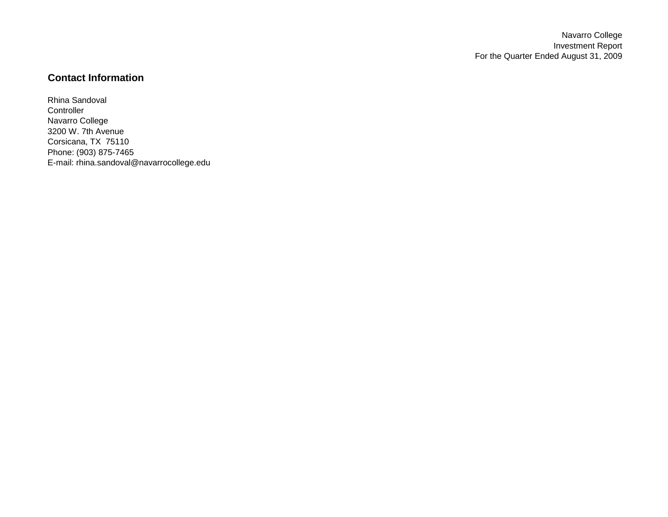Navarro College Investment Report For the Quarter Ended August 31, 2009

## **Contact Information**

Rhina Sandoval **Controller** Navarro College 3200 W. 7th Avenue Corsicana, TX 75110 Phone: (903) 875-7465 E-mail: rhina.sandoval@navarrocollege.edu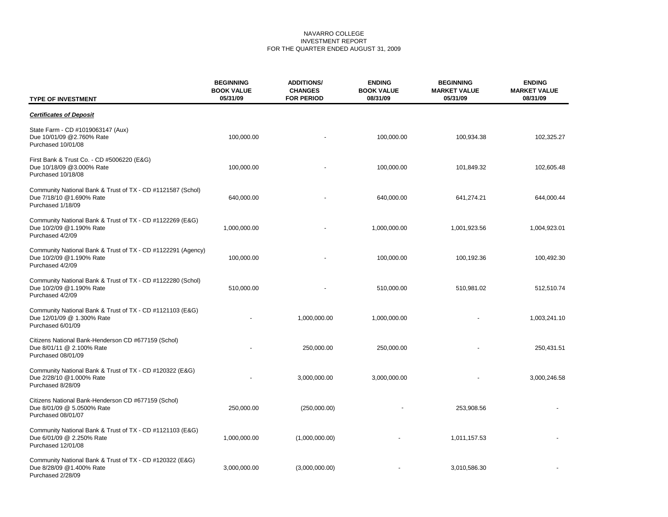#### NAVARRO COLLEGE INVESTMENT REPORT FOR THE QUARTER ENDED AUGUST 31, 2009

| <b>TYPE OF INVESTMENT</b>                                                                                    | <b>BEGINNING</b><br><b>BOOK VALUE</b><br>05/31/09 | <b>ADDITIONS/</b><br><b>CHANGES</b><br><b>FOR PERIOD</b> | <b>ENDING</b><br><b>BOOK VALUE</b><br>08/31/09 | <b>BEGINNING</b><br><b>MARKET VALUE</b><br>05/31/09 | <b>ENDING</b><br><b>MARKET VALUE</b><br>08/31/09 |
|--------------------------------------------------------------------------------------------------------------|---------------------------------------------------|----------------------------------------------------------|------------------------------------------------|-----------------------------------------------------|--------------------------------------------------|
| <b>Certificates of Deposit</b>                                                                               |                                                   |                                                          |                                                |                                                     |                                                  |
| State Farm - CD #1019063147 (Aux)<br>Due 10/01/09 @2.760% Rate<br>Purchased 10/01/08                         | 100,000.00                                        |                                                          | 100,000.00                                     | 100,934.38                                          | 102,325.27                                       |
| First Bank & Trust Co. - CD #5006220 (E&G)<br>Due 10/18/09 @3.000% Rate<br>Purchased 10/18/08                | 100,000.00                                        |                                                          | 100,000.00                                     | 101,849.32                                          | 102,605.48                                       |
| Community National Bank & Trust of TX - CD #1121587 (Schol)<br>Due 7/18/10 @1.690% Rate<br>Purchased 1/18/09 | 640,000.00                                        |                                                          | 640,000.00                                     | 641,274.21                                          | 644,000.44                                       |
| Community National Bank & Trust of TX - CD #1122269 (E&G)<br>Due 10/2/09 @1.190% Rate<br>Purchased 4/2/09    | 1,000,000.00                                      |                                                          | 1,000,000.00                                   | 1,001,923.56                                        | 1,004,923.01                                     |
| Community National Bank & Trust of TX - CD #1122291 (Agency)<br>Due 10/2/09 @1.190% Rate<br>Purchased 4/2/09 | 100,000.00                                        |                                                          | 100,000.00                                     | 100,192.36                                          | 100,492.30                                       |
| Community National Bank & Trust of TX - CD #1122280 (Schol)<br>Due 10/2/09 @1.190% Rate<br>Purchased 4/2/09  | 510,000.00                                        |                                                          | 510,000.00                                     | 510,981.02                                          | 512,510.74                                       |
| Community National Bank & Trust of TX - CD #1121103 (E&G)<br>Due 12/01/09 @ 1.300% Rate<br>Purchased 6/01/09 |                                                   | 1,000,000.00                                             | 1,000,000.00                                   |                                                     | 1,003,241.10                                     |
| Citizens National Bank-Henderson CD #677159 (Schol)<br>Due 8/01/11 @ 2.100% Rate<br>Purchased 08/01/09       |                                                   | 250,000.00                                               | 250,000.00                                     |                                                     | 250,431.51                                       |
| Community National Bank & Trust of TX - CD #120322 (E&G)<br>Due 2/28/10 @1.000% Rate<br>Purchased 8/28/09    |                                                   | 3,000,000.00                                             | 3,000,000.00                                   |                                                     | 3,000,246.58                                     |
| Citizens National Bank-Henderson CD #677159 (Schol)<br>Due 8/01/09 @ 5.0500% Rate<br>Purchased 08/01/07      | 250,000.00                                        | (250,000.00)                                             |                                                | 253,908.56                                          |                                                  |
| Community National Bank & Trust of TX - CD #1121103 (E&G)<br>Due 6/01/09 @ 2.250% Rate<br>Purchased 12/01/08 | 1,000,000.00                                      | (1,000,000.00)                                           |                                                | 1,011,157.53                                        |                                                  |
| Community National Bank & Trust of TX - CD #120322 (E&G)<br>Due 8/28/09 @1.400% Rate<br>Purchased 2/28/09    | 3,000,000.00                                      | (3,000,000.00)                                           |                                                | 3,010,586.30                                        |                                                  |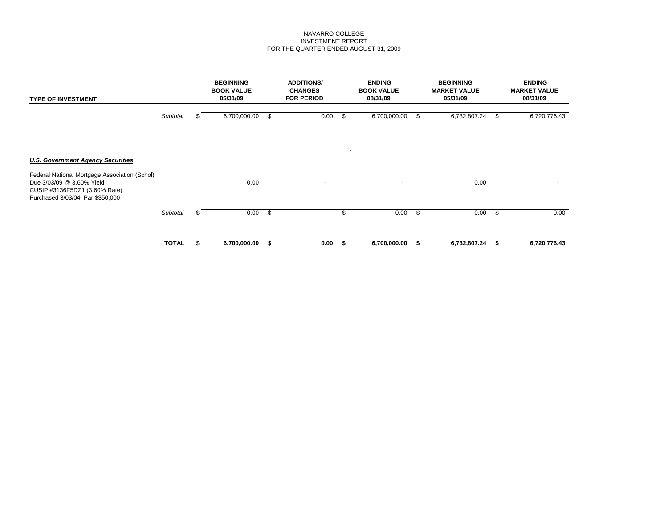#### NAVARRO COLLEGE INVESTMENT REPORT FOR THE QUARTER ENDED AUGUST 31, 2009

| <b>TYPE OF INVESTMENT</b>                                                                                                                      |              |     | <b>BEGINNING</b><br><b>BOOK VALUE</b><br>05/31/09 | <b>ADDITIONS/</b><br><b>CHANGES</b><br><b>FOR PERIOD</b> |      | <b>ENDING</b><br><b>BOOK VALUE</b><br>08/31/09 |               | <b>BEGINNING</b><br><b>MARKET VALUE</b><br>05/31/09 |      | <b>ENDING</b><br><b>MARKET VALUE</b><br>08/31/09 |
|------------------------------------------------------------------------------------------------------------------------------------------------|--------------|-----|---------------------------------------------------|----------------------------------------------------------|------|------------------------------------------------|---------------|-----------------------------------------------------|------|--------------------------------------------------|
|                                                                                                                                                | Subtotal     |     | 6,700,000.00                                      | \$<br>0.00                                               | - \$ | 6,700,000.00                                   |               | 6,732,807.24                                        | æ.   | 6,720,776.43                                     |
| <b>U.S. Government Agency Securities</b>                                                                                                       |              |     |                                                   |                                                          |      | $\lambda$                                      |               |                                                     |      |                                                  |
| Federal National Mortgage Association (Schol)<br>Due 3/03/09 @ 3.60% Yield<br>CUSIP #3136F5DZ1 (3.60% Rate)<br>Purchased 3/03/04 Par \$350,000 |              |     | 0.00                                              | $\overline{\phantom{0}}$                                 |      | $\overline{\phantom{a}}$                       |               | 0.00                                                |      |                                                  |
|                                                                                                                                                | Subtotal     | æ.  | 0.00                                              | \$                                                       | \$   | 0.00                                           | <b>S</b>      | 0.00                                                | - \$ | 0.00                                             |
|                                                                                                                                                | <b>TOTAL</b> | \$. | 6,700,000.00                                      | \$<br>0.00                                               | - \$ | 6,700,000.00                                   | $\sim$ $\sim$ | 6,732,807.24 \$                                     |      | 6,720,776.43                                     |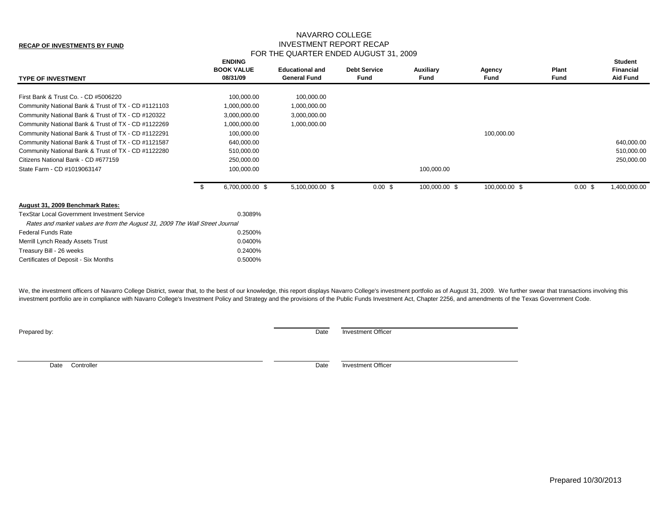#### **RECAP OF INVESTMENTS BY FUND**

### NAVARRO COLLEGE INVESTMENT REPORT RECAP FOR THE QUARTER ENDED AUGUST 31, 2009

| <b>TYPE OF INVESTMENT</b>                                                    | <b>ENDING</b><br><b>BOOK VALUE</b><br>08/31/09 | <b>Educational and</b><br><b>General Fund</b> | <b>Debt Service</b><br>Fund | Auxiliary<br><b>Fund</b> | Agency<br>Fund | <b>Plant</b><br><b>Fund</b> | <b>Student</b><br><b>Financial</b><br><b>Aid Fund</b> |
|------------------------------------------------------------------------------|------------------------------------------------|-----------------------------------------------|-----------------------------|--------------------------|----------------|-----------------------------|-------------------------------------------------------|
|                                                                              |                                                |                                               |                             |                          |                |                             |                                                       |
| First Bank & Trust Co. - CD #5006220                                         | 100,000.00                                     | 100,000.00                                    |                             |                          |                |                             |                                                       |
| Community National Bank & Trust of TX - CD #1121103                          | 1,000,000.00                                   | 1,000,000.00                                  |                             |                          |                |                             |                                                       |
| Community National Bank & Trust of TX - CD #120322                           | 3,000,000.00                                   | 3,000,000.00                                  |                             |                          |                |                             |                                                       |
| Community National Bank & Trust of TX - CD #1122269                          | 1,000,000.00                                   | 1,000,000.00                                  |                             |                          |                |                             |                                                       |
| Community National Bank & Trust of TX - CD #1122291                          | 100,000.00                                     |                                               |                             |                          | 100,000.00     |                             |                                                       |
| Community National Bank & Trust of TX - CD #1121587                          | 640,000.00                                     |                                               |                             |                          |                |                             | 640,000.00                                            |
| Community National Bank & Trust of TX - CD #1122280                          | 510,000.00                                     |                                               |                             |                          |                |                             | 510,000.00                                            |
| Citizens National Bank - CD #677159                                          | 250,000.00                                     |                                               |                             |                          |                |                             | 250,000.00                                            |
| State Farm - CD #1019063147                                                  | 100,000.00                                     |                                               |                             | 100,000.00               |                |                             |                                                       |
|                                                                              | 6,700,000.00 \$                                | 5,100,000.00 \$                               | 0.00~\$                     | 100,000.00 \$            | 100,000.00 \$  | 0.00~\$                     | 1,400,000.00                                          |
| August 31, 2009 Benchmark Rates:                                             |                                                |                                               |                             |                          |                |                             |                                                       |
| <b>TexStar Local Government Investment Service</b>                           | 0.3089%                                        |                                               |                             |                          |                |                             |                                                       |
| Rates and market values are from the August 31, 2009 The Wall Street Journal |                                                |                                               |                             |                          |                |                             |                                                       |
| <b>Federal Funds Rate</b>                                                    | 0.2500%                                        |                                               |                             |                          |                |                             |                                                       |
| Merrill Lynch Ready Assets Trust                                             | 0.0400%                                        |                                               |                             |                          |                |                             |                                                       |
| Treasury Bill - 26 weeks                                                     | 0.2400%                                        |                                               |                             |                          |                |                             |                                                       |
| Certificates of Deposit - Six Months                                         | 0.5000%                                        |                                               |                             |                          |                |                             |                                                       |

We, the investment officers of Navarro College District, swear that, to the best of our knowledge, this report displays Navarro College's investment portfolio as of August 31, 2009. We further swear that transactions invol investment portfolio are in compliance with Navarro College's Investment Policy and Strategy and the provisions of the Public Funds Investment Act, Chapter 2256, and amendments of the Texas Government Code.

**Prepared by:** Date Investment Officer

Date Controller **Date Investment Officer** Date Investment Officer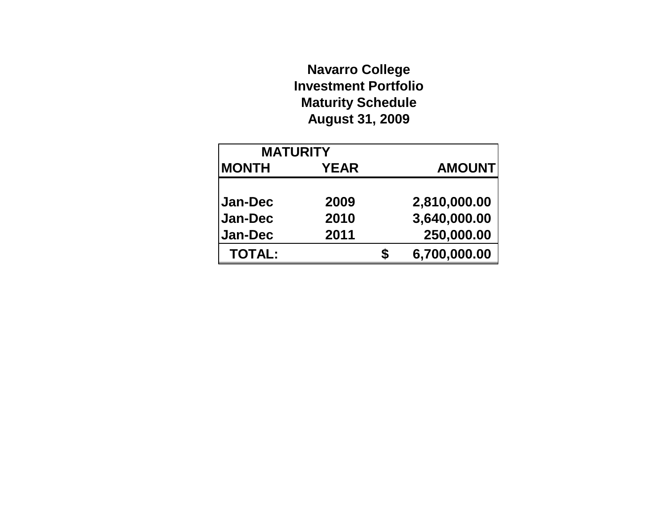# **Navarro College Investment Portfolio Maturity Schedule August 31, 2009**

| <b>MATURITY</b> |             |   |               |
|-----------------|-------------|---|---------------|
| <b>MONTH</b>    | <b>YEAR</b> |   | <b>AMOUNT</b> |
|                 |             |   |               |
| <b>Jan-Dec</b>  | 2009        |   | 2,810,000.00  |
| <b>Jan-Dec</b>  | 2010        |   | 3,640,000.00  |
| <b>Jan-Dec</b>  | 2011        |   | 250,000.00    |
| <b>TOTAL:</b>   |             | S | 6,700,000.00  |